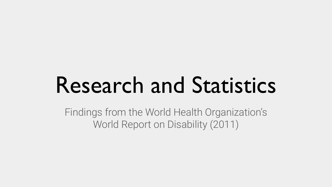## Research and Statistics

Findings from the World Health Organization's World Report on Disability (2011)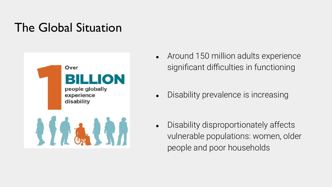### The Global Situation



- Around 150 million adults experience significant difficulties in functioning
- Disability prevalence is increasing

• Disability disproportionately affects vulnerable populations: women, older people and poor households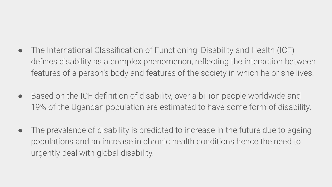- The International Classification of Functioning, Disability and Health (ICF) defines disability as a complex phenomenon, reflecting the interaction between features of a person's body and features of the society in which he or she lives.
- Based on the ICF definition of disability, over a billion people worldwide and 19% of the Ugandan population are estimated to have some form of disability.
- The prevalence of disability is predicted to increase in the future due to ageing populations and an increase in chronic health conditions hence the need to urgently deal with global disability.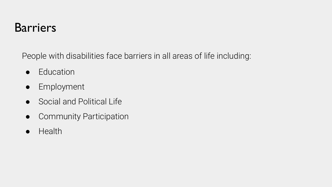#### **Barriers**

People with disabilities face barriers in all areas of life including:

- Education
- Employment
- Social and Political Life
- Community Participation
- Health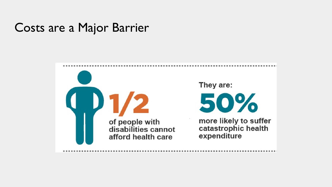#### Costs are a Major Barrier

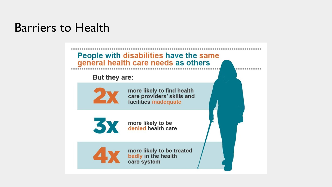#### Barriers to Health

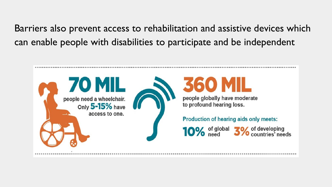Barriers also prevent access to rehabilitation and assistive devices which can enable people with disabilities to participate and be independent

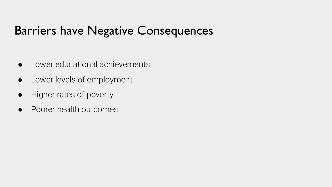#### Barriers have Negative Consequences

- Lower educational achievements
- Lower levels of employment
- Higher rates of poverty
- Poorer health outcomes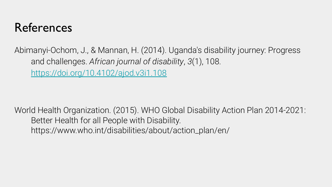#### References

Abimanyi-Ochom, J., & Mannan, H. (2014). Uganda's disability journey: Progress and challenges. *African journal of disability*, *3*(1), 108. <https://doi.org/10.4102/ajod.v3i1.108>

World Health Organization. (2015). WHO Global Disability Action Plan 2014-2021: Better Health for all People with Disability. https://www.who.int/disabilities/about/action\_plan/en/